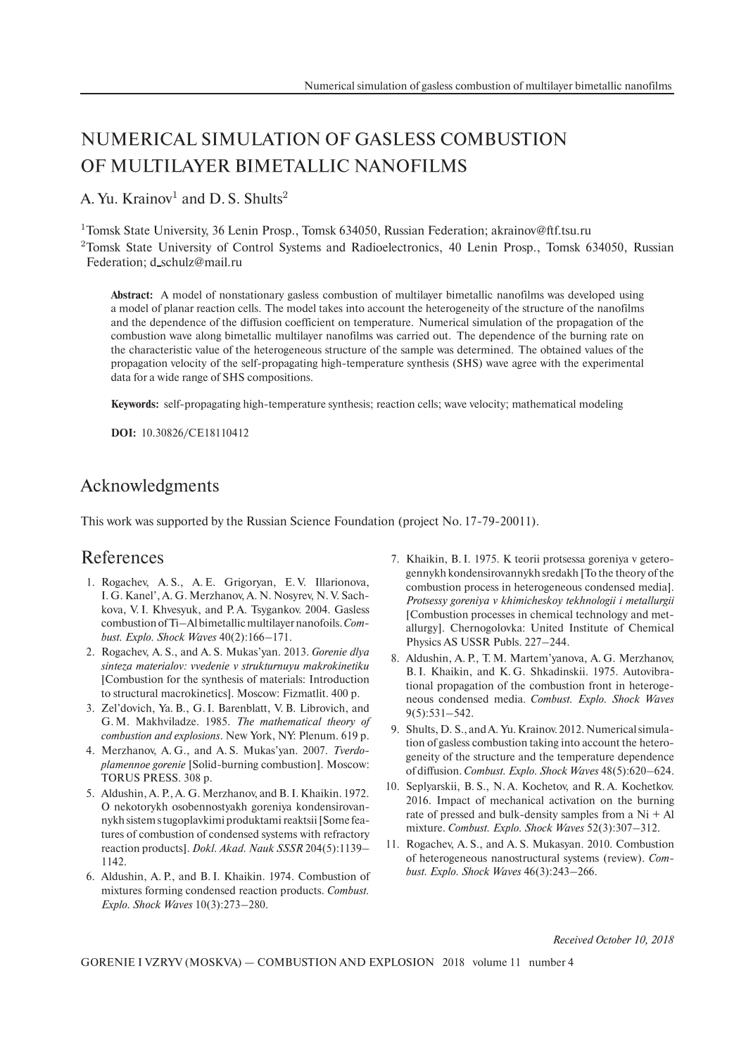## NUMERICAL SIMULATION OF GASLESS COMBUSTION OF MULTILAYER BIMETALLIC NANOFILMS

A. Yu. Krainov<sup>1</sup> and D. S. Shults<sup>2</sup>

<sup>1</sup>Tomsk State University, 36 Lenin Prosp., Tomsk 634050, Russian Federation; akrainov@ftf.tsu.ru

<sup>2</sup>Tomsk State University of Control Systems and Radioelectronics, 40 Lenin Prosp., Tomsk 634050, Russian Federation; d\_schulz@mail.ru

**Abstract:** A model of nonstationary gasless combustion of multilayer bimetallic nanofilms was developed using a model of planar reaction cells. The model takes into account the heterogeneity of the structure of the nanofilms and the dependence of the diffusion coefficient on temperature. Numerical simulation of the propagation of the combustion wave along bimetallic multilayer nanofilms was carried out. The dependence of the burning rate on the characteristic value of the heterogeneous structure of the sample was determined. The obtained values of the propagation velocity of the self-propagating high-temperature synthesis (SHS) wave agree with the experimental data for a wide range of SHS compositions.

**Keywords:** self-propagating high-temperature synthesis; reaction cells; wave velocity; mathematical modeling

**DOI:** 10.30826/CE18110412

## Acknowledgments

This work was supported by the Russian Science Foundation (project No. 17-79-20011).

## References

- 1. Rogachev, A. S., A. E. Grigoryan, E. V. Illarionova, I. G. Kanel', A. G. Merzhanov, A. N. Nosyrev, N. V. Sachkova, V. I. Khvesyuk, and P. A. Tsygankov. 2004. Gasless combustion of Ti–Al bimetallic multilayer nanofoils.*Combust. Explo. Shock Waves* 40(2):166–171.
- 2. Rogachev, A. S., and A. S. Mukas'yan. 2013. *Gorenie dlya sinteza materialov: vvedenie v strukturnuyu makrokinetiku* [Combustion for the synthesis of materials: Introduction to structural macrokinetics]. Moscow: Fizmatlit. 400 p.
- 3. Zel'dovich, Ya. B., G. I. Barenblatt, V. B. Librovich, and G. M. Makhviladze. 1985. *The mathematical theory of combustion and explosions*. New York, NY: Plenum. 619 p.
- 4. Merzhanov, A. G., and A. S. Mukas'yan. 2007. *Tverdoplamennoe gorenie* [Solid-burning combustion]. Moscow: TORUS PRESS. 308 p.
- 5. Aldushin, A. P., A. G. Merzhanov, and B. I. Khaikin. 1972. O nekotorykh osobennostyakh goreniya kondensirovannykh sistem s tugoplavkimi produktami reaktsii [Some features of combustion of condensed systems with refractory reaction products]. *Dokl. Akad. Nauk SSSR* 204(5):1139– 1142.
- 6. Aldushin, A. P., and B. I. Khaikin. 1974. Combustion of mixtures forming condensed reaction products. *Combust. Explo. Shock Waves* 10(3):273–280.
- 7. Khaikin, B. I. 1975. K teorii protsessa goreniya v geterogennykh kondensirovannykh sredakh [To the theory of the combustion process in heterogeneous condensed media]. *Protsessy goreniya v khimicheskoy tekhnologii i metallurgii* [Combustion processes in chemical technology and metallurgy]. Chernogolovka: United Institute of Chemical Physics AS USSR Publs. 227–244.
- 8. Aldushin, A. P., T. M. Martem'yanova, A. G. Merzhanov, B. I. Khaikin, and K. G. Shkadinskii. 1975. Autovibrational propagation of the combustion front in heterogeneous condensed media. *Combust. Explo. Shock Waves* 9(5):531–542.
- 9. Shults, D. S., and A. Yu. Krainov. 2012. Numerical simulation of gasless combustion taking into account the heterogeneity of the structure and the temperature dependence of diffusion. *Combust. Explo. Shock Waves* 48(5):620–624.
- 10. Seplyarskii, B. S., N. A. Kochetov, and R. A. Kochetkov. 2016. Impact of mechanical activation on the burning rate of pressed and bulk-density samples from a Ni + Al mixture. *Combust. Explo. Shock Waves* 52(3):307–312.
- 11. Rogachev, A. S., and A. S. Mukasyan. 2010. Combustion of heterogeneous nanostructural systems (review). *Combust. Explo. Shock Waves* 46(3):243–266.

*Received October 10, 2018*

GORENIE I VZRYV (MOSKVA) — COMBUSTION AND EXPLOSION 2018 volume 11 number 4